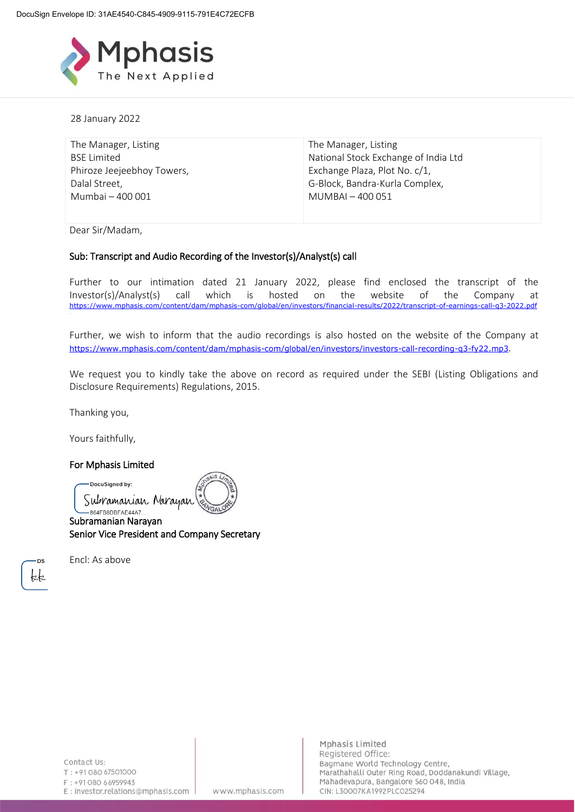

28 January 2022

| The Manager, Listing       | The Manager, Listing                 |
|----------------------------|--------------------------------------|
| <b>BSE Limited</b>         | National Stock Exchange of India Ltd |
| Phiroze Jeejeebhoy Towers, | Exchange Plaza, Plot No. c/1,        |
| Dalal Street,              | G-Block, Bandra-Kurla Complex,       |
| Mumbai - 400 001           | MUMBAI - 400 051                     |

Dear Sir/Madam,

# Sub: Transcript and Audio Recording of the Investor(s)/Analyst(s) call

Further to our intimation dated 21 January 2022, please find enclosed the transcript of the Investor(s)/Analyst(s) call which is hosted on the website of the Company at <https://www.mphasis.com/content/dam/mphasis-com/global/en/investors/financial-results/2022/transcript-of-earnings-call-q3-2022.pdf>

Further, we wish to inform that the audio recordings is also hosted on the website of the Company at <https://www.mphasis.com/content/dam/mphasis-com/global/en/investors/investors-call-recording-q3-fy22.mp3>.

We request you to kindly take the above on record as required under the SEBI (Listing Obligations and Disclosure Requirements) Regulations, 2015.

Thanking you,

.

Yours faithfully,

# For Mphasis Limited

DocuSigned by:

Subramanian Narayan

-864FB8DBFAE44A7.. Subramanian Narayan Senior Vice President and Company Secretary

**DS** kk Encl: As above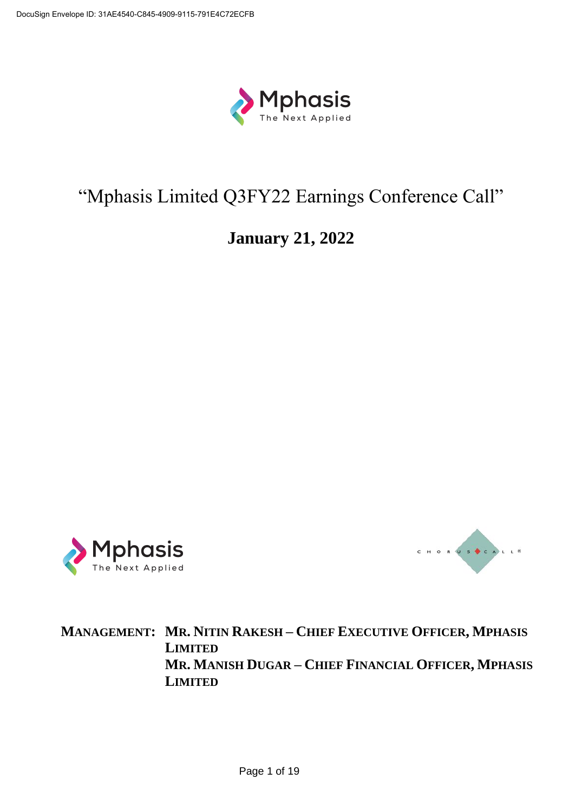

# "Mphasis Limited Q3FY22 Earnings Conference Call"

# **January 21, 2022**





**MANAGEMENT: MR. NITIN RAKESH – CHIEF EXECUTIVE OFFICER, MPHASIS LIMITED MR. MANISH DUGAR – CHIEF FINANCIAL OFFICER, MPHASIS LIMITED**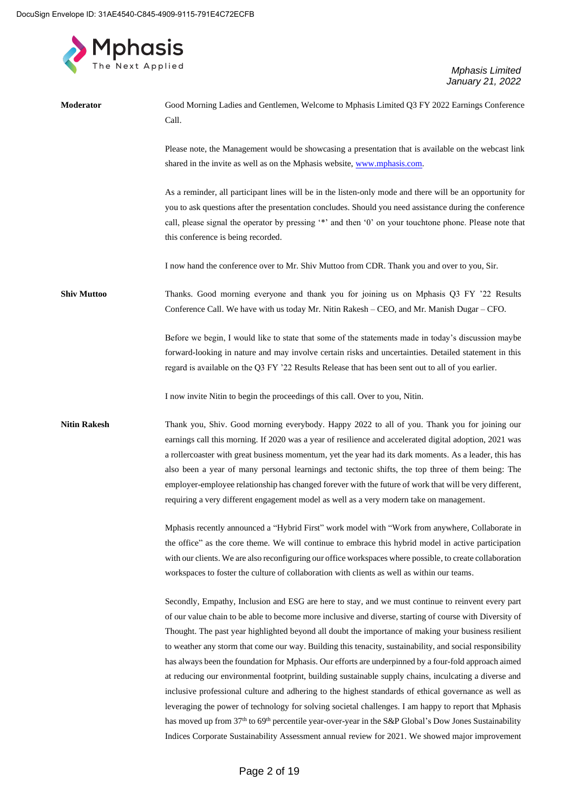

| Moderator           | Good Morning Ladies and Gentlemen, Welcome to Mphasis Limited Q3 FY 2022 Earnings Conference<br>Call.                                                                                                                                                                                                                                                                                                                                                                                                                                                                                                                                                                                                                                                                                                                                                                                                                                                                                                                                                                                |
|---------------------|--------------------------------------------------------------------------------------------------------------------------------------------------------------------------------------------------------------------------------------------------------------------------------------------------------------------------------------------------------------------------------------------------------------------------------------------------------------------------------------------------------------------------------------------------------------------------------------------------------------------------------------------------------------------------------------------------------------------------------------------------------------------------------------------------------------------------------------------------------------------------------------------------------------------------------------------------------------------------------------------------------------------------------------------------------------------------------------|
|                     | Please note, the Management would be showcasing a presentation that is available on the webcast link<br>shared in the invite as well as on the Mphasis website, www.mphasis.com.                                                                                                                                                                                                                                                                                                                                                                                                                                                                                                                                                                                                                                                                                                                                                                                                                                                                                                     |
|                     | As a reminder, all participant lines will be in the listen-only mode and there will be an opportunity for<br>you to ask questions after the presentation concludes. Should you need assistance during the conference<br>call, please signal the operator by pressing '*' and then '0' on your touchtone phone. Please note that<br>this conference is being recorded.                                                                                                                                                                                                                                                                                                                                                                                                                                                                                                                                                                                                                                                                                                                |
|                     | I now hand the conference over to Mr. Shiv Muttoo from CDR. Thank you and over to you, Sir.                                                                                                                                                                                                                                                                                                                                                                                                                                                                                                                                                                                                                                                                                                                                                                                                                                                                                                                                                                                          |
| <b>Shiv Muttoo</b>  | Thanks. Good morning everyone and thank you for joining us on Mphasis Q3 FY '22 Results<br>Conference Call. We have with us today Mr. Nitin Rakesh - CEO, and Mr. Manish Dugar - CFO.                                                                                                                                                                                                                                                                                                                                                                                                                                                                                                                                                                                                                                                                                                                                                                                                                                                                                                |
|                     | Before we begin, I would like to state that some of the statements made in today's discussion maybe<br>forward-looking in nature and may involve certain risks and uncertainties. Detailed statement in this<br>regard is available on the Q3 FY '22 Results Release that has been sent out to all of you earlier.                                                                                                                                                                                                                                                                                                                                                                                                                                                                                                                                                                                                                                                                                                                                                                   |
|                     | I now invite Nitin to begin the proceedings of this call. Over to you, Nitin.                                                                                                                                                                                                                                                                                                                                                                                                                                                                                                                                                                                                                                                                                                                                                                                                                                                                                                                                                                                                        |
| <b>Nitin Rakesh</b> | Thank you, Shiv. Good morning everybody. Happy 2022 to all of you. Thank you for joining our<br>earnings call this morning. If 2020 was a year of resilience and accelerated digital adoption, 2021 was<br>a rollercoaster with great business momentum, yet the year had its dark moments. As a leader, this has<br>also been a year of many personal learnings and tectonic shifts, the top three of them being: The<br>employer-employee relationship has changed forever with the future of work that will be very different,<br>requiring a very different engagement model as well as a very modern take on management.                                                                                                                                                                                                                                                                                                                                                                                                                                                        |
|                     | Mphasis recently announced a "Hybrid First" work model with "Work from anywhere, Collaborate in<br>the office" as the core theme. We will continue to embrace this hybrid model in active participation<br>with our clients. We are also reconfiguring our office workspaces where possible, to create collaboration<br>workspaces to foster the culture of collaboration with clients as well as within our teams.                                                                                                                                                                                                                                                                                                                                                                                                                                                                                                                                                                                                                                                                  |
|                     | Secondly, Empathy, Inclusion and ESG are here to stay, and we must continue to reinvent every part<br>of our value chain to be able to become more inclusive and diverse, starting of course with Diversity of<br>Thought. The past year highlighted beyond all doubt the importance of making your business resilient<br>to weather any storm that come our way. Building this tenacity, sustainability, and social responsibility<br>has always been the foundation for Mphasis. Our efforts are underpinned by a four-fold approach aimed<br>at reducing our environmental footprint, building sustainable supply chains, inculcating a diverse and<br>inclusive professional culture and adhering to the highest standards of ethical governance as well as<br>leveraging the power of technology for solving societal challenges. I am happy to report that Mphasis<br>has moved up from 37th to 69th percentile year-over-year in the S&P Global's Dow Jones Sustainability<br>Indices Corporate Sustainability Assessment annual review for 2021. We showed major improvement |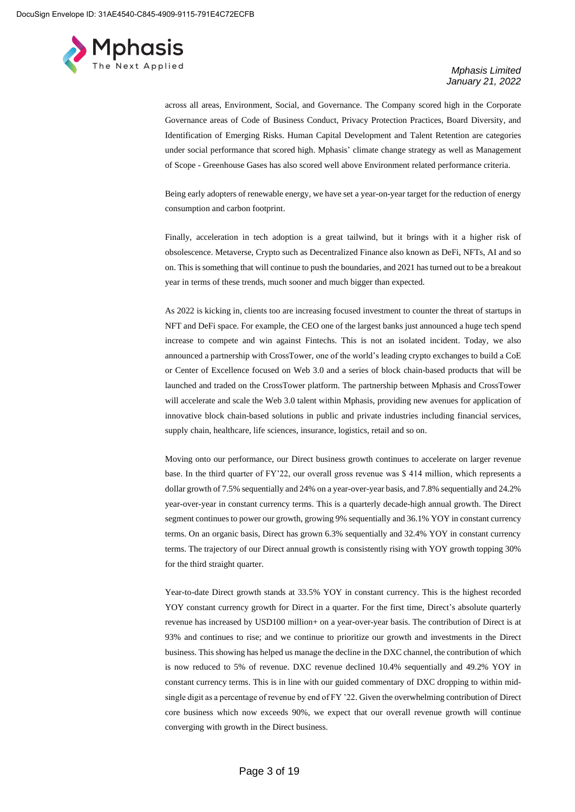

across all areas, Environment, Social, and Governance. The Company scored high in the Corporate Governance areas of Code of Business Conduct, Privacy Protection Practices, Board Diversity, and Identification of Emerging Risks. Human Capital Development and Talent Retention are categories under social performance that scored high. Mphasis' climate change strategy as well as Management of Scope - Greenhouse Gases has also scored well above Environment related performance criteria.

Being early adopters of renewable energy, we have set a year-on-year target for the reduction of energy consumption and carbon footprint.

Finally, acceleration in tech adoption is a great tailwind, but it brings with it a higher risk of obsolescence. Metaverse, Crypto such as Decentralized Finance also known as DeFi, NFTs, AI and so on. This is something that will continue to push the boundaries, and 2021 has turned out to be a breakout year in terms of these trends, much sooner and much bigger than expected.

As 2022 is kicking in, clients too are increasing focused investment to counter the threat of startups in NFT and DeFi space. For example, the CEO one of the largest banks just announced a huge tech spend increase to compete and win against Fintechs. This is not an isolated incident. Today, we also announced a partnership with CrossTower, one of the world's leading crypto exchanges to build a CoE or Center of Excellence focused on Web 3.0 and a series of block chain-based products that will be launched and traded on the CrossTower platform. The partnership between Mphasis and CrossTower will accelerate and scale the Web 3.0 talent within Mphasis, providing new avenues for application of innovative block chain-based solutions in public and private industries including financial services, supply chain, healthcare, life sciences, insurance, logistics, retail and so on.

Moving onto our performance, our Direct business growth continues to accelerate on larger revenue base. In the third quarter of FY'22, our overall gross revenue was \$ 414 million, which represents a dollar growth of 7.5% sequentially and 24% on a year-over-year basis, and 7.8% sequentially and 24.2% year-over-year in constant currency terms. This is a quarterly decade-high annual growth. The Direct segment continues to power our growth, growing 9% sequentially and 36.1% YOY in constant currency terms. On an organic basis, Direct has grown 6.3% sequentially and 32.4% YOY in constant currency terms. The trajectory of our Direct annual growth is consistently rising with YOY growth topping 30% for the third straight quarter.

Year-to-date Direct growth stands at 33.5% YOY in constant currency. This is the highest recorded YOY constant currency growth for Direct in a quarter. For the first time, Direct's absolute quarterly revenue has increased by USD100 million+ on a year-over-year basis. The contribution of Direct is at 93% and continues to rise; and we continue to prioritize our growth and investments in the Direct business. This showing has helped us manage the decline in the DXC channel, the contribution of which is now reduced to 5% of revenue. DXC revenue declined 10.4% sequentially and 49.2% YOY in constant currency terms. This is in line with our guided commentary of DXC dropping to within midsingle digit as a percentage of revenue by end of FY '22. Given the overwhelming contribution of Direct core business which now exceeds 90%, we expect that our overall revenue growth will continue converging with growth in the Direct business.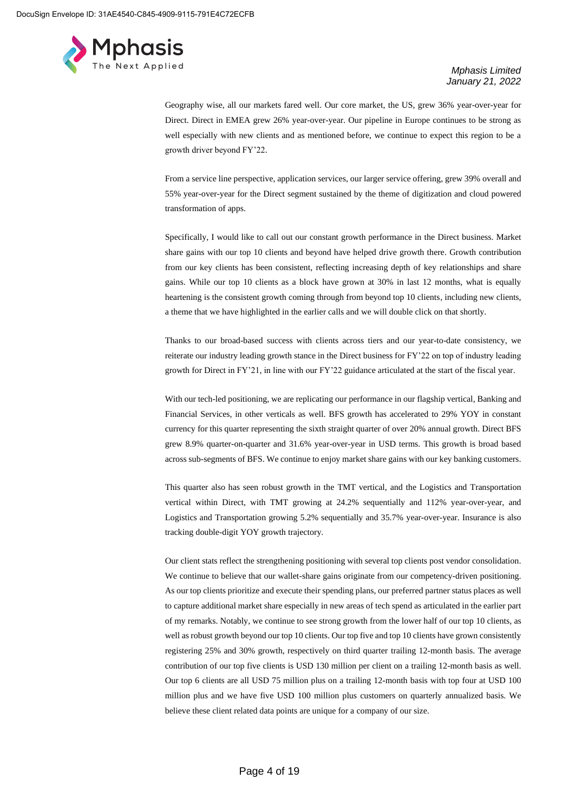

Geography wise, all our markets fared well. Our core market, the US, grew 36% year-over-year for Direct. Direct in EMEA grew 26% year-over-year. Our pipeline in Europe continues to be strong as well especially with new clients and as mentioned before, we continue to expect this region to be a growth driver beyond FY'22.

From a service line perspective, application services, our larger service offering, grew 39% overall and 55% year-over-year for the Direct segment sustained by the theme of digitization and cloud powered transformation of apps.

Specifically, I would like to call out our constant growth performance in the Direct business. Market share gains with our top 10 clients and beyond have helped drive growth there. Growth contribution from our key clients has been consistent, reflecting increasing depth of key relationships and share gains. While our top 10 clients as a block have grown at 30% in last 12 months, what is equally heartening is the consistent growth coming through from beyond top 10 clients, including new clients, a theme that we have highlighted in the earlier calls and we will double click on that shortly.

Thanks to our broad-based success with clients across tiers and our year-to-date consistency, we reiterate our industry leading growth stance in the Direct business for FY'22 on top of industry leading growth for Direct in FY'21, in line with our FY'22 guidance articulated at the start of the fiscal year.

With our tech-led positioning, we are replicating our performance in our flagship vertical, Banking and Financial Services, in other verticals as well. BFS growth has accelerated to 29% YOY in constant currency for this quarter representing the sixth straight quarter of over 20% annual growth. Direct BFS grew 8.9% quarter-on-quarter and 31.6% year-over-year in USD terms. This growth is broad based across sub-segments of BFS. We continue to enjoy market share gains with our key banking customers.

This quarter also has seen robust growth in the TMT vertical, and the Logistics and Transportation vertical within Direct, with TMT growing at 24.2% sequentially and 112% year-over-year, and Logistics and Transportation growing 5.2% sequentially and 35.7% year-over-year. Insurance is also tracking double-digit YOY growth trajectory.

Our client stats reflect the strengthening positioning with several top clients post vendor consolidation. We continue to believe that our wallet-share gains originate from our competency-driven positioning. As our top clients prioritize and execute their spending plans, our preferred partner status places as well to capture additional market share especially in new areas of tech spend as articulated in the earlier part of my remarks. Notably, we continue to see strong growth from the lower half of our top 10 clients, as well as robust growth beyond our top 10 clients. Our top five and top 10 clients have grown consistently registering 25% and 30% growth, respectively on third quarter trailing 12-month basis. The average contribution of our top five clients is USD 130 million per client on a trailing 12-month basis as well. Our top 6 clients are all USD 75 million plus on a trailing 12-month basis with top four at USD 100 million plus and we have five USD 100 million plus customers on quarterly annualized basis. We believe these client related data points are unique for a company of our size.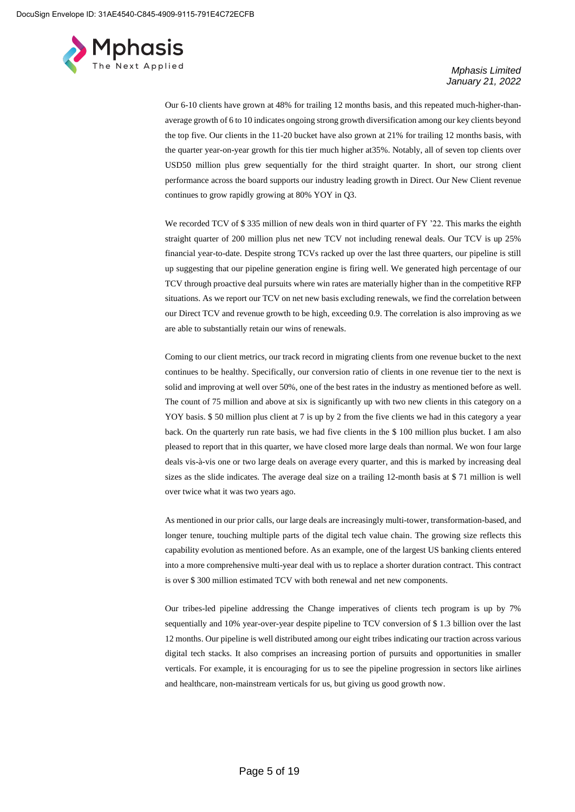

Our 6-10 clients have grown at 48% for trailing 12 months basis, and this repeated much-higher-thanaverage growth of 6 to 10 indicates ongoing strong growth diversification among our key clients beyond the top five. Our clients in the 11-20 bucket have also grown at 21% for trailing 12 months basis, with the quarter year-on-year growth for this tier much higher at35%. Notably, all of seven top clients over USD50 million plus grew sequentially for the third straight quarter. In short, our strong client performance across the board supports our industry leading growth in Direct. Our New Client revenue continues to grow rapidly growing at 80% YOY in Q3.

We recorded TCV of \$335 million of new deals won in third quarter of FY '22. This marks the eighth straight quarter of 200 million plus net new TCV not including renewal deals. Our TCV is up 25% financial year-to-date. Despite strong TCVs racked up over the last three quarters, our pipeline is still up suggesting that our pipeline generation engine is firing well. We generated high percentage of our TCV through proactive deal pursuits where win rates are materially higher than in the competitive RFP situations. As we report our TCV on net new basis excluding renewals, we find the correlation between our Direct TCV and revenue growth to be high, exceeding 0.9. The correlation is also improving as we are able to substantially retain our wins of renewals.

Coming to our client metrics, our track record in migrating clients from one revenue bucket to the next continues to be healthy. Specifically, our conversion ratio of clients in one revenue tier to the next is solid and improving at well over 50%, one of the best rates in the industry as mentioned before as well. The count of 75 million and above at six is significantly up with two new clients in this category on a YOY basis. \$ 50 million plus client at 7 is up by 2 from the five clients we had in this category a year back. On the quarterly run rate basis, we had five clients in the \$ 100 million plus bucket. I am also pleased to report that in this quarter, we have closed more large deals than normal. We won four large deals vis-à-vis one or two large deals on average every quarter, and this is marked by increasing deal sizes as the slide indicates. The average deal size on a trailing 12-month basis at \$ 71 million is well over twice what it was two years ago.

As mentioned in our prior calls, our large deals are increasingly multi-tower, transformation-based, and longer tenure, touching multiple parts of the digital tech value chain. The growing size reflects this capability evolution as mentioned before. As an example, one of the largest US banking clients entered into a more comprehensive multi-year deal with us to replace a shorter duration contract. This contract is over \$ 300 million estimated TCV with both renewal and net new components.

Our tribes-led pipeline addressing the Change imperatives of clients tech program is up by 7% sequentially and 10% year-over-year despite pipeline to TCV conversion of \$ 1.3 billion over the last 12 months. Our pipeline is well distributed among our eight tribes indicating our traction across various digital tech stacks. It also comprises an increasing portion of pursuits and opportunities in smaller verticals. For example, it is encouraging for us to see the pipeline progression in sectors like airlines and healthcare, non-mainstream verticals for us, but giving us good growth now.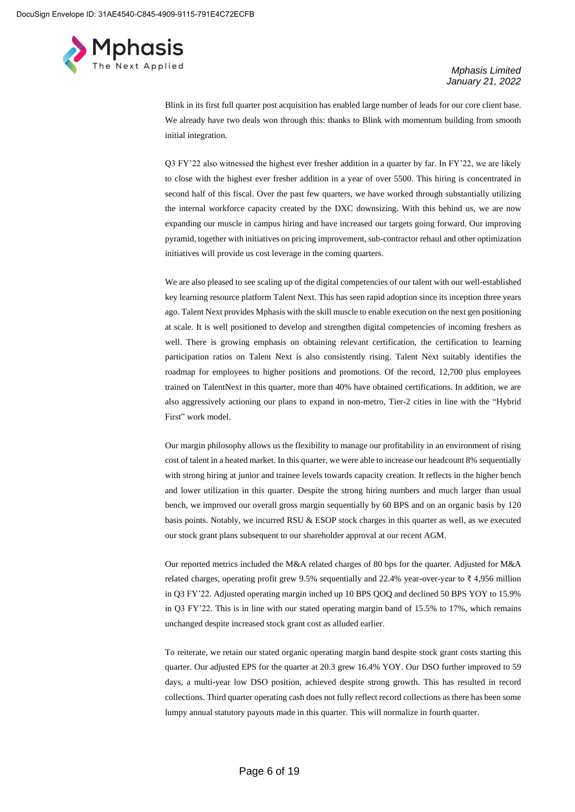

Blink in its first full quarter post acquisition has enabled large number of leads for our core client base. We already have two deals won through this: thanks to Blink with momentum building from smooth initial integration.

Q3 FY'22 also witnessed the highest ever fresher addition in a quarter by far. In FY'22, we are likely to close with the highest ever fresher addition in a year of over 5500. This hiring is concentrated in second half of this fiscal. Over the past few quarters, we have worked through substantially utilizing the internal workforce capacity created by the DXC downsizing. With this behind us, we are now expanding our muscle in campus hiring and have increased our targets going forward. Our improving pyramid, together with initiatives on pricing improvement, sub-contractor rehaul and other optimization initiatives will provide us cost leverage in the coming quarters.

We are also pleased to see scaling up of the digital competencies of our talent with our well-established key learning resource platform Talent Next. This has seen rapid adoption since its inception three years ago. Talent Next provides Mphasis with the skill muscle to enable execution on the next gen positioning at scale. It is well positioned to develop and strengthen digital competencies of incoming freshers as well. There is growing emphasis on obtaining relevant certification, the certification to learning participation ratios on Talent Next is also consistently rising. Talent Next suitably identifies the roadmap for employees to higher positions and promotions. Of the record, 12,700 plus employees trained on TalentNext in this quarter, more than 40% have obtained certifications. In addition, we are also aggressively actioning our plans to expand in non-metro, Tier-2 cities in line with the "Hybrid First" work model.

Our margin philosophy allows us the flexibility to manage our profitability in an environment of rising cost of talent in a heated market. In this quarter, we were able to increase our headcount 8% sequentially with strong hiring at junior and trainee levels towards capacity creation. It reflects in the higher bench and lower utilization in this quarter. Despite the strong hiring numbers and much larger than usual bench, we improved our overall gross margin sequentially by 60 BPS and on an organic basis by 120 basis points. Notably, we incurred RSU & ESOP stock charges in this quarter as well, as we executed our stock grant plans subsequent to our shareholder approval at our recent AGM.

Our reported metrics included the M&A related charges of 80 bps for the quarter. Adjusted for M&A related charges, operating profit grew 9.5% sequentially and 22.4% year-over-year to ₹ 4,956 million in Q3 FY'22. Adjusted operating margin inched up 10 BPS QOQ and declined 50 BPS YOY to 15.9% in Q3 FY'22. This is in line with our stated operating margin band of 15.5% to 17%, which remains unchanged despite increased stock grant cost as alluded earlier.

To reiterate, we retain our stated organic operating margin band despite stock grant costs starting this quarter. Our adjusted EPS for the quarter at 20.3 grew 16.4% YOY. Our DSO further improved to 59 days, a multi-year low DSO position, achieved despite strong growth. This has resulted in record collections. Third quarter operating cash does not fully reflect record collections as there has been some lumpy annual statutory payouts made in this quarter. This will normalize in fourth quarter.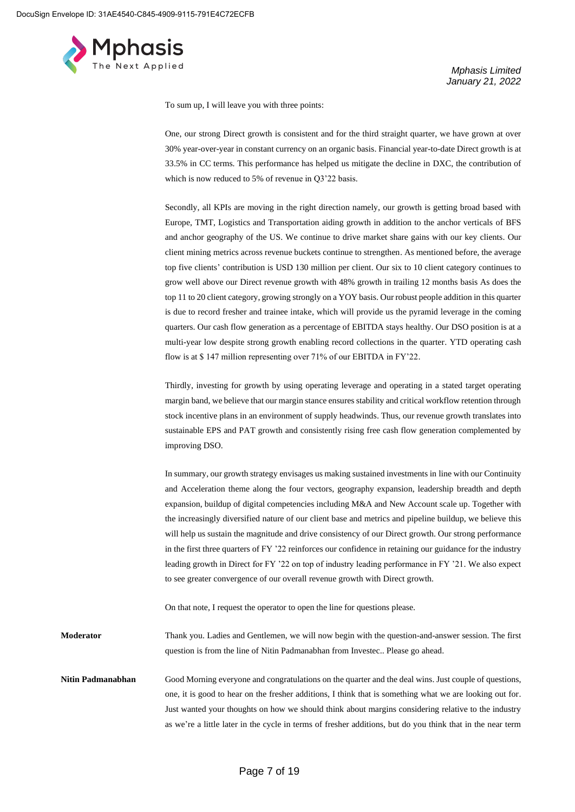

To sum up, I will leave you with three points:

One, our strong Direct growth is consistent and for the third straight quarter, we have grown at over 30% year-over-year in constant currency on an organic basis. Financial year-to-date Direct growth is at 33.5% in CC terms. This performance has helped us mitigate the decline in DXC, the contribution of which is now reduced to 5% of revenue in Q3'22 basis.

Secondly, all KPIs are moving in the right direction namely, our growth is getting broad based with Europe, TMT, Logistics and Transportation aiding growth in addition to the anchor verticals of BFS and anchor geography of the US. We continue to drive market share gains with our key clients. Our client mining metrics across revenue buckets continue to strengthen. As mentioned before, the average top five clients' contribution is USD 130 million per client. Our six to 10 client category continues to grow well above our Direct revenue growth with 48% growth in trailing 12 months basis As does the top 11 to 20 client category, growing strongly on a YOY basis. Our robust people addition in this quarter is due to record fresher and trainee intake, which will provide us the pyramid leverage in the coming quarters. Our cash flow generation as a percentage of EBITDA stays healthy. Our DSO position is at a multi-year low despite strong growth enabling record collections in the quarter. YTD operating cash flow is at \$ 147 million representing over 71% of our EBITDA in FY'22.

Thirdly, investing for growth by using operating leverage and operating in a stated target operating margin band, we believe that our margin stance ensures stability and critical workflow retention through stock incentive plans in an environment of supply headwinds. Thus, our revenue growth translates into sustainable EPS and PAT growth and consistently rising free cash flow generation complemented by improving DSO.

In summary, our growth strategy envisages us making sustained investments in line with our Continuity and Acceleration theme along the four vectors, geography expansion, leadership breadth and depth expansion, buildup of digital competencies including M&A and New Account scale up. Together with the increasingly diversified nature of our client base and metrics and pipeline buildup, we believe this will help us sustain the magnitude and drive consistency of our Direct growth. Our strong performance in the first three quarters of FY '22 reinforces our confidence in retaining our guidance for the industry leading growth in Direct for FY '22 on top of industry leading performance in FY '21. We also expect to see greater convergence of our overall revenue growth with Direct growth. On that note, I request the operator to open the line for questions please. **Moderator** Thank you. Ladies and Gentlemen, we will now begin with the question-and-answer session. The first question is from the line of Nitin Padmanabhan from Investec.. Please go ahead.

**Nitin Padmanabhan** Good Morning everyone and congratulations on the quarter and the deal wins. Just couple of questions, one, it is good to hear on the fresher additions, I think that is something what we are looking out for. Just wanted your thoughts on how we should think about margins considering relative to the industry as we're a little later in the cycle in terms of fresher additions, but do you think that in the near term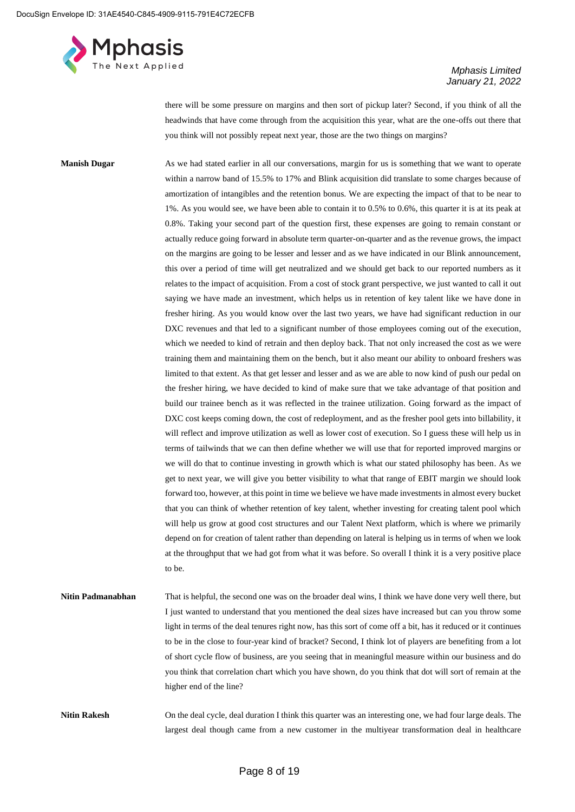

there will be some pressure on margins and then sort of pickup later? Second, if you think of all the headwinds that have come through from the acquisition this year, what are the one-offs out there that you think will not possibly repeat next year, those are the two things on margins?

**Manish Dugar** As we had stated earlier in all our conversations, margin for us is something that we want to operate within a narrow band of 15.5% to 17% and Blink acquisition did translate to some charges because of amortization of intangibles and the retention bonus. We are expecting the impact of that to be near to 1%. As you would see, we have been able to contain it to 0.5% to 0.6%, this quarter it is at its peak at 0.8%. Taking your second part of the question first, these expenses are going to remain constant or actually reduce going forward in absolute term quarter-on-quarter and as the revenue grows, the impact on the margins are going to be lesser and lesser and as we have indicated in our Blink announcement, this over a period of time will get neutralized and we should get back to our reported numbers as it relates to the impact of acquisition. From a cost of stock grant perspective, we just wanted to call it out saying we have made an investment, which helps us in retention of key talent like we have done in fresher hiring. As you would know over the last two years, we have had significant reduction in our DXC revenues and that led to a significant number of those employees coming out of the execution, which we needed to kind of retrain and then deploy back. That not only increased the cost as we were training them and maintaining them on the bench, but it also meant our ability to onboard freshers was limited to that extent. As that get lesser and lesser and as we are able to now kind of push our pedal on the fresher hiring, we have decided to kind of make sure that we take advantage of that position and build our trainee bench as it was reflected in the trainee utilization. Going forward as the impact of DXC cost keeps coming down, the cost of redeployment, and as the fresher pool gets into billability, it will reflect and improve utilization as well as lower cost of execution. So I guess these will help us in terms of tailwinds that we can then define whether we will use that for reported improved margins or we will do that to continue investing in growth which is what our stated philosophy has been. As we get to next year, we will give you better visibility to what that range of EBIT margin we should look forward too, however, at this point in time we believe we have made investments in almost every bucket that you can think of whether retention of key talent, whether investing for creating talent pool which will help us grow at good cost structures and our Talent Next platform, which is where we primarily depend on for creation of talent rather than depending on lateral is helping us in terms of when we look at the throughput that we had got from what it was before. So overall I think it is a very positive place to be.

**Nitin Padmanabhan** That is helpful, the second one was on the broader deal wins, I think we have done very well there, but I just wanted to understand that you mentioned the deal sizes have increased but can you throw some light in terms of the deal tenures right now, has this sort of come off a bit, has it reduced or it continues to be in the close to four-year kind of bracket? Second, I think lot of players are benefiting from a lot of short cycle flow of business, are you seeing that in meaningful measure within our business and do you think that correlation chart which you have shown, do you think that dot will sort of remain at the higher end of the line?

**Nitin Rakesh** On the deal cycle, deal duration I think this quarter was an interesting one, we had four large deals. The largest deal though came from a new customer in the multiyear transformation deal in healthcare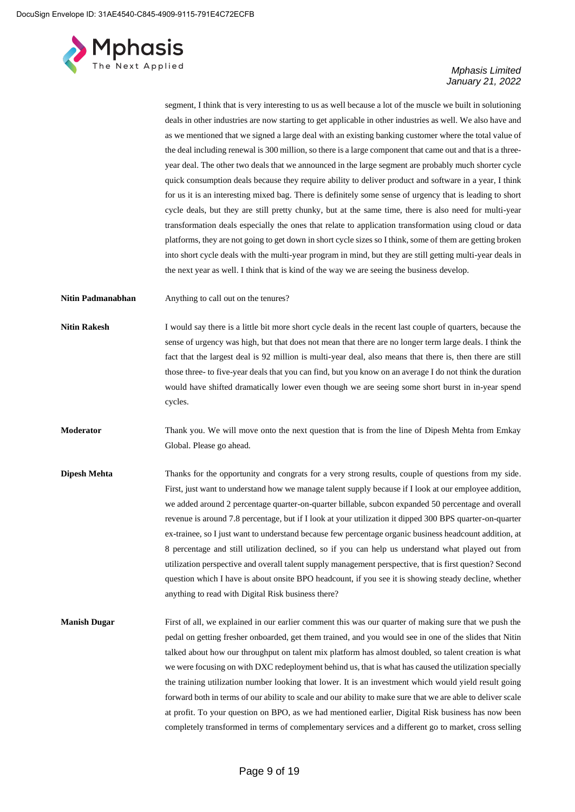

segment, I think that is very interesting to us as well because a lot of the muscle we built in solutioning deals in other industries are now starting to get applicable in other industries as well. We also have and as we mentioned that we signed a large deal with an existing banking customer where the total value of the deal including renewal is 300 million, so there is a large component that came out and that is a threeyear deal. The other two deals that we announced in the large segment are probably much shorter cycle quick consumption deals because they require ability to deliver product and software in a year, I think for us it is an interesting mixed bag. There is definitely some sense of urgency that is leading to short cycle deals, but they are still pretty chunky, but at the same time, there is also need for multi-year transformation deals especially the ones that relate to application transformation using cloud or data platforms, they are not going to get down in short cycle sizes so I think, some of them are getting broken into short cycle deals with the multi-year program in mind, but they are still getting multi-year deals in the next year as well. I think that is kind of the way we are seeing the business develop.

**Nitin Padmanabhan** Anything to call out on the tenures?

**Nitin Rakesh** I would say there is a little bit more short cycle deals in the recent last couple of quarters, because the sense of urgency was high, but that does not mean that there are no longer term large deals. I think the fact that the largest deal is 92 million is multi-year deal, also means that there is, then there are still those three- to five-year deals that you can find, but you know on an average I do not think the duration would have shifted dramatically lower even though we are seeing some short burst in in-year spend cycles.

**Moderator** Thank you. We will move onto the next question that is from the line of Dipesh Mehta from Emkay Global. Please go ahead.

- **Dipesh Mehta** Thanks for the opportunity and congrats for a very strong results, couple of questions from my side. First, just want to understand how we manage talent supply because if I look at our employee addition, we added around 2 percentage quarter-on-quarter billable, subcon expanded 50 percentage and overall revenue is around 7.8 percentage, but if I look at your utilization it dipped 300 BPS quarter-on-quarter ex-trainee, so I just want to understand because few percentage organic business headcount addition, at 8 percentage and still utilization declined, so if you can help us understand what played out from utilization perspective and overall talent supply management perspective, that is first question? Second question which I have is about onsite BPO headcount, if you see it is showing steady decline, whether anything to read with Digital Risk business there?
- **Manish Dugar** First of all, we explained in our earlier comment this was our quarter of making sure that we push the pedal on getting fresher onboarded, get them trained, and you would see in one of the slides that Nitin talked about how our throughput on talent mix platform has almost doubled, so talent creation is what we were focusing on with DXC redeployment behind us, that is what has caused the utilization specially the training utilization number looking that lower. It is an investment which would yield result going forward both in terms of our ability to scale and our ability to make sure that we are able to deliver scale at profit. To your question on BPO, as we had mentioned earlier, Digital Risk business has now been completely transformed in terms of complementary services and a different go to market, cross selling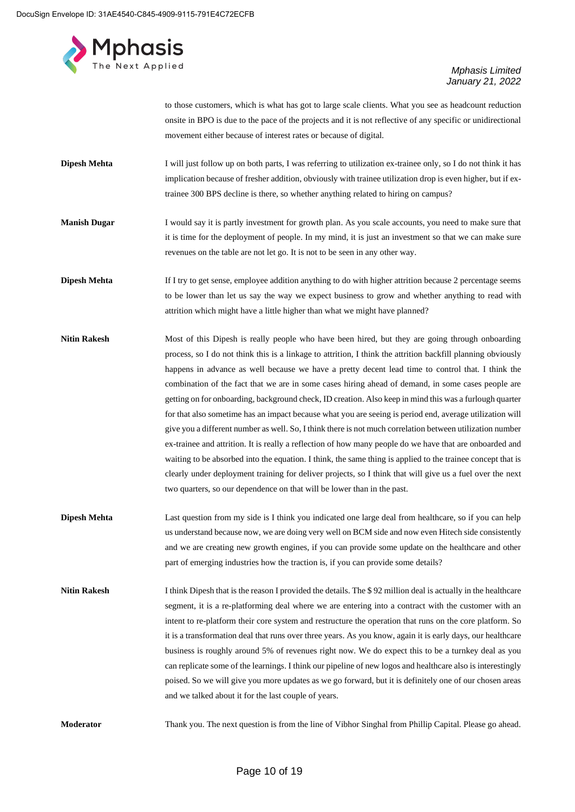

to those customers, which is what has got to large scale clients. What you see as headcount reduction onsite in BPO is due to the pace of the projects and it is not reflective of any specific or unidirectional movement either because of interest rates or because of digital.

- **Dipesh Mehta** I will just follow up on both parts, I was referring to utilization ex-trainee only, so I do not think it has implication because of fresher addition, obviously with trainee utilization drop is even higher, but if extrainee 300 BPS decline is there, so whether anything related to hiring on campus?
- **Manish Dugar** I would say it is partly investment for growth plan. As you scale accounts, you need to make sure that it is time for the deployment of people. In my mind, it is just an investment so that we can make sure revenues on the table are not let go. It is not to be seen in any other way.
- **Dipesh Mehta** If I try to get sense, employee addition anything to do with higher attrition because 2 percentage seems to be lower than let us say the way we expect business to grow and whether anything to read with attrition which might have a little higher than what we might have planned?
- **Nitin Rakesh** Most of this Dipesh is really people who have been hired, but they are going through onboarding process, so I do not think this is a linkage to attrition, I think the attrition backfill planning obviously happens in advance as well because we have a pretty decent lead time to control that. I think the combination of the fact that we are in some cases hiring ahead of demand, in some cases people are getting on for onboarding, background check, ID creation. Also keep in mind this was a furlough quarter for that also sometime has an impact because what you are seeing is period end, average utilization will give you a different number as well. So, I think there is not much correlation between utilization number ex-trainee and attrition. It is really a reflection of how many people do we have that are onboarded and waiting to be absorbed into the equation. I think, the same thing is applied to the trainee concept that is clearly under deployment training for deliver projects, so I think that will give us a fuel over the next two quarters, so our dependence on that will be lower than in the past.
- **Dipesh Mehta** Last question from my side is I think you indicated one large deal from healthcare, so if you can help us understand because now, we are doing very well on BCM side and now even Hitech side consistently and we are creating new growth engines, if you can provide some update on the healthcare and other part of emerging industries how the traction is, if you can provide some details?
- **Nitin Rakesh** I think Dipesh that is the reason I provided the details. The \$92 million deal is actually in the healthcare segment, it is a re-platforming deal where we are entering into a contract with the customer with an intent to re-platform their core system and restructure the operation that runs on the core platform. So it is a transformation deal that runs over three years. As you know, again it is early days, our healthcare business is roughly around 5% of revenues right now. We do expect this to be a turnkey deal as you can replicate some of the learnings. I think our pipeline of new logos and healthcare also is interestingly poised. So we will give you more updates as we go forward, but it is definitely one of our chosen areas and we talked about it for the last couple of years.

**Moderator** Thank you. The next question is from the line of Vibhor Singhal from Phillip Capital. Please go ahead.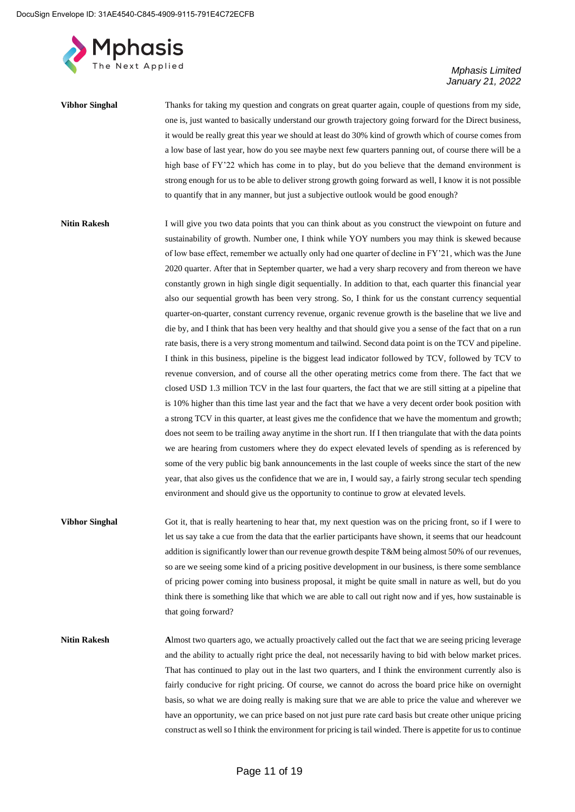

| <b>Vibhor Singhal</b> | Thanks for taking my question and congrats on great quarter again, couple of questions from my side,        |
|-----------------------|-------------------------------------------------------------------------------------------------------------|
|                       | one is, just wanted to basically understand our growth trajectory going forward for the Direct business,    |
|                       | it would be really great this year we should at least do 30% kind of growth which of course comes from      |
|                       | a low base of last year, how do you see maybe next few quarters panning out, of course there will be a      |
|                       | high base of FY'22 which has come in to play, but do you believe that the demand environment is             |
|                       | strong enough for us to be able to deliver strong growth going forward as well, I know it is not possible   |
|                       | to quantify that in any manner, but just a subjective outlook would be good enough?                         |
| <b>Nitin Rakesh</b>   | I will give you two data points that you can think about as you construct the viewpoint on future and       |
|                       | sustainability of growth. Number one, I think while YOY numbers you may think is skewed because             |
|                       | of low base effect, remember we actually only had one quarter of decline in FY'21, which was the June       |
|                       | 2020 quarter. After that in September quarter, we had a very sharp recovery and from thereon we have        |
|                       | constantly grown in high single digit sequentially. In addition to that, each quarter this financial year   |
|                       | also our sequential growth has been very strong. So, I think for us the constant currency sequential        |
|                       | quarter-on-quarter, constant currency revenue, organic revenue growth is the baseline that we live and      |
|                       | die by, and I think that has been very healthy and that should give you a sense of the fact that on a run   |
|                       | rate basis, there is a very strong momentum and tailwind. Second data point is on the TCV and pipeline.     |
|                       | I think in this business, pipeline is the biggest lead indicator followed by TCV, followed by TCV to        |
|                       | revenue conversion, and of course all the other operating metrics come from there. The fact that we         |
|                       | closed USD 1.3 million TCV in the last four quarters, the fact that we are still sitting at a pipeline that |
|                       | is 10% higher than this time last year and the fact that we have a very decent order book position with     |
|                       | a strong TCV in this quarter, at least gives me the confidence that we have the momentum and growth;        |
|                       | does not seem to be trailing away anytime in the short run. If I then triangulate that with the data points |
|                       | we are hearing from customers where they do expect elevated levels of spending as is referenced by          |
|                       | some of the very public big bank announcements in the last couple of weeks since the start of the new       |
|                       | year, that also gives us the confidence that we are in, I would say, a fairly strong secular tech spending  |
|                       | environment and should give us the opportunity to continue to grow at elevated levels.                      |
|                       |                                                                                                             |

- **Vibhor Singhal** Got it, that is really heartening to hear that, my next question was on the pricing front, so if I were to let us say take a cue from the data that the earlier participants have shown, it seems that our headcount addition is significantly lower than our revenue growth despite T&M being almost 50% of our revenues, so are we seeing some kind of a pricing positive development in our business, is there some semblance of pricing power coming into business proposal, it might be quite small in nature as well, but do you think there is something like that which we are able to call out right now and if yes, how sustainable is that going forward?
- **Nitin Rakesh A**lmost two quarters ago, we actually proactively called out the fact that we are seeing pricing leverage and the ability to actually right price the deal, not necessarily having to bid with below market prices. That has continued to play out in the last two quarters, and I think the environment currently also is fairly conducive for right pricing. Of course, we cannot do across the board price hike on overnight basis, so what we are doing really is making sure that we are able to price the value and wherever we have an opportunity, we can price based on not just pure rate card basis but create other unique pricing construct as well so I think the environment for pricing is tail winded. There is appetite for us to continue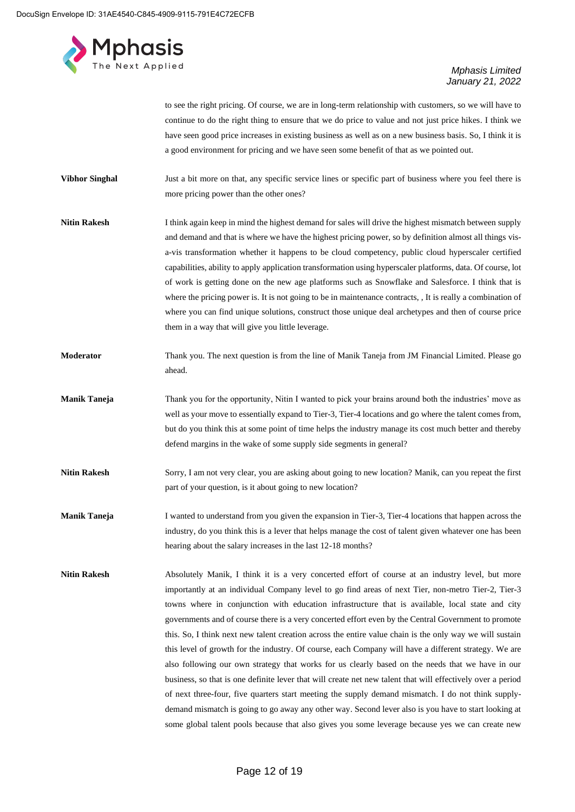

to see the right pricing. Of course, we are in long-term relationship with customers, so we will have to continue to do the right thing to ensure that we do price to value and not just price hikes. I think we have seen good price increases in existing business as well as on a new business basis. So, I think it is a good environment for pricing and we have seen some benefit of that as we pointed out.

**Vibhor Singhal** Just a bit more on that, any specific service lines or specific part of business where you feel there is more pricing power than the other ones?

**Nitin Rakesh** I think again keep in mind the highest demand for sales will drive the highest mismatch between supply and demand and that is where we have the highest pricing power, so by definition almost all things visa-vis transformation whether it happens to be cloud competency, public cloud hyperscaler certified capabilities, ability to apply application transformation using hyperscaler platforms, data. Of course, lot of work is getting done on the new age platforms such as Snowflake and Salesforce. I think that is where the pricing power is. It is not going to be in maintenance contracts, , It is really a combination of where you can find unique solutions, construct those unique deal archetypes and then of course price them in a way that will give you little leverage.

- **Moderator** Thank you. The next question is from the line of Manik Taneja from JM Financial Limited. Please go ahead.
- **Manik Taneja** Thank you for the opportunity, Nitin I wanted to pick your brains around both the industries' move as well as your move to essentially expand to Tier-3, Tier-4 locations and go where the talent comes from, but do you think this at some point of time helps the industry manage its cost much better and thereby defend margins in the wake of some supply side segments in general?
- **Nitin Rakesh** Sorry, I am not very clear, you are asking about going to new location? Manik, can you repeat the first part of your question, is it about going to new location?
- **Manik Taneja** I wanted to understand from you given the expansion in Tier-3, Tier-4 locations that happen across the industry, do you think this is a lever that helps manage the cost of talent given whatever one has been hearing about the salary increases in the last 12-18 months?
- Nitin Rakesh Absolutely Manik, I think it is a very concerted effort of course at an industry level, but more importantly at an individual Company level to go find areas of next Tier, non-metro Tier-2, Tier-3 towns where in conjunction with education infrastructure that is available, local state and city governments and of course there is a very concerted effort even by the Central Government to promote this. So, I think next new talent creation across the entire value chain is the only way we will sustain this level of growth for the industry. Of course, each Company will have a different strategy. We are also following our own strategy that works for us clearly based on the needs that we have in our business, so that is one definite lever that will create net new talent that will effectively over a period of next three-four, five quarters start meeting the supply demand mismatch. I do not think supplydemand mismatch is going to go away any other way. Second lever also is you have to start looking at some global talent pools because that also gives you some leverage because yes we can create new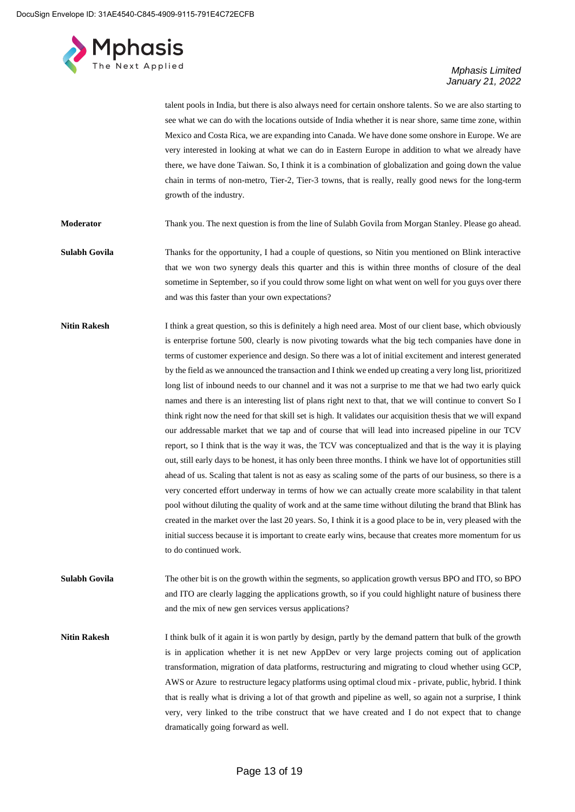

talent pools in India, but there is also always need for certain onshore talents. So we are also starting to see what we can do with the locations outside of India whether it is near shore, same time zone, within Mexico and Costa Rica, we are expanding into Canada. We have done some onshore in Europe. We are very interested in looking at what we can do in Eastern Europe in addition to what we already have there, we have done Taiwan. So, I think it is a combination of globalization and going down the value chain in terms of non-metro, Tier-2, Tier-3 towns, that is really, really good news for the long-term growth of the industry.

**Moderator** Thank you. The next question is from the line of Sulabh Govila from Morgan Stanley. Please go ahead.

- **Sulabh Govila** Thanks for the opportunity, I had a couple of questions, so Nitin you mentioned on Blink interactive that we won two synergy deals this quarter and this is within three months of closure of the deal sometime in September, so if you could throw some light on what went on well for you guys over there and was this faster than your own expectations?
- **Nitin Rakesh** I think a great question, so this is definitely a high need area. Most of our client base, which obviously is enterprise fortune 500, clearly is now pivoting towards what the big tech companies have done in terms of customer experience and design. So there was a lot of initial excitement and interest generated by the field as we announced the transaction and I think we ended up creating a very long list, prioritized long list of inbound needs to our channel and it was not a surprise to me that we had two early quick names and there is an interesting list of plans right next to that, that we will continue to convert So I think right now the need for that skill set is high. It validates our acquisition thesis that we will expand our addressable market that we tap and of course that will lead into increased pipeline in our TCV report, so I think that is the way it was, the TCV was conceptualized and that is the way it is playing out, still early days to be honest, it has only been three months. I think we have lot of opportunities still ahead of us. Scaling that talent is not as easy as scaling some of the parts of our business, so there is a very concerted effort underway in terms of how we can actually create more scalability in that talent pool without diluting the quality of work and at the same time without diluting the brand that Blink has created in the market over the last 20 years. So, I think it is a good place to be in, very pleased with the initial success because it is important to create early wins, because that creates more momentum for us to do continued work.
- **Sulabh Govila** The other bit is on the growth within the segments, so application growth versus BPO and ITO, so BPO and ITO are clearly lagging the applications growth, so if you could highlight nature of business there and the mix of new gen services versus applications?

**Nitin Rakesh** I think bulk of it again it is won partly by design, partly by the demand pattern that bulk of the growth is in application whether it is net new AppDev or very large projects coming out of application transformation, migration of data platforms, restructuring and migrating to cloud whether using GCP, AWS or Azure to restructure legacy platforms using optimal cloud mix - private, public, hybrid. I think that is really what is driving a lot of that growth and pipeline as well, so again not a surprise, I think very, very linked to the tribe construct that we have created and I do not expect that to change dramatically going forward as well.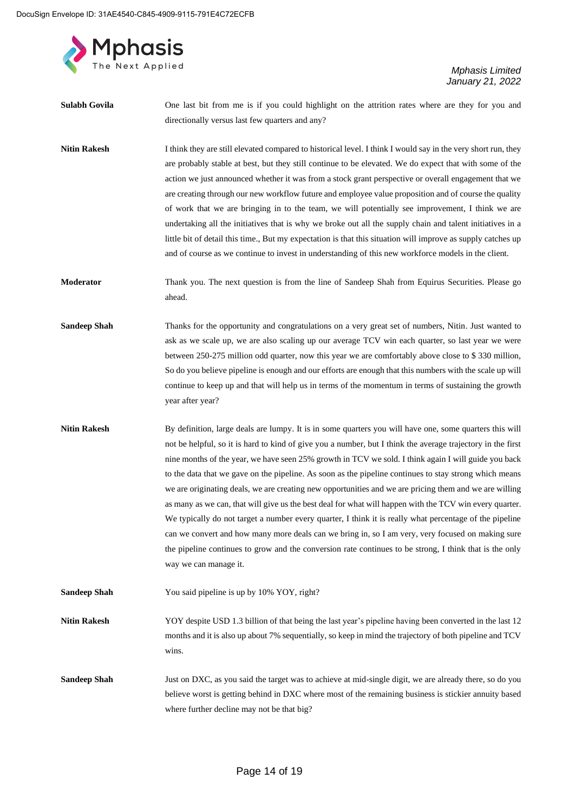

| Sulabh Govila       | One last bit from me is if you could highlight on the attrition rates where are they for you and<br>directionally versus last few quarters and any?                                                                                                                                                                                                                                                                                                                                                                                                                                                                                                                                                                                                                                                                                                                                                                                                                                                               |
|---------------------|-------------------------------------------------------------------------------------------------------------------------------------------------------------------------------------------------------------------------------------------------------------------------------------------------------------------------------------------------------------------------------------------------------------------------------------------------------------------------------------------------------------------------------------------------------------------------------------------------------------------------------------------------------------------------------------------------------------------------------------------------------------------------------------------------------------------------------------------------------------------------------------------------------------------------------------------------------------------------------------------------------------------|
| <b>Nitin Rakesh</b> | I think they are still elevated compared to historical level. I think I would say in the very short run, they<br>are probably stable at best, but they still continue to be elevated. We do expect that with some of the<br>action we just announced whether it was from a stock grant perspective or overall engagement that we<br>are creating through our new workflow future and employee value proposition and of course the quality<br>of work that we are bringing in to the team, we will potentially see improvement, I think we are<br>undertaking all the initiatives that is why we broke out all the supply chain and talent initiatives in a<br>little bit of detail this time., But my expectation is that this situation will improve as supply catches up<br>and of course as we continue to invest in understanding of this new workforce models in the client.                                                                                                                                 |
| Moderator           | Thank you. The next question is from the line of Sandeep Shah from Equirus Securities. Please go<br>ahead.                                                                                                                                                                                                                                                                                                                                                                                                                                                                                                                                                                                                                                                                                                                                                                                                                                                                                                        |
| <b>Sandeep Shah</b> | Thanks for the opportunity and congratulations on a very great set of numbers, Nitin. Just wanted to<br>ask as we scale up, we are also scaling up our average TCV win each quarter, so last year we were<br>between 250-275 million odd quarter, now this year we are comfortably above close to \$330 million,<br>So do you believe pipeline is enough and our efforts are enough that this numbers with the scale up will<br>continue to keep up and that will help us in terms of the momentum in terms of sustaining the growth<br>year after year?                                                                                                                                                                                                                                                                                                                                                                                                                                                          |
| <b>Nitin Rakesh</b> | By definition, large deals are lumpy. It is in some quarters you will have one, some quarters this will<br>not be helpful, so it is hard to kind of give you a number, but I think the average trajectory in the first<br>nine months of the year, we have seen 25% growth in TCV we sold. I think again I will guide you back<br>to the data that we gave on the pipeline. As soon as the pipeline continues to stay strong which means<br>we are originating deals, we are creating new opportunities and we are pricing them and we are willing<br>as many as we can, that will give us the best deal for what will happen with the TCV win every quarter.<br>We typically do not target a number every quarter, I think it is really what percentage of the pipeline<br>can we convert and how many more deals can we bring in, so I am very, very focused on making sure<br>the pipeline continues to grow and the conversion rate continues to be strong, I think that is the only<br>way we can manage it. |
| <b>Sandeep Shah</b> | You said pipeline is up by 10% YOY, right?                                                                                                                                                                                                                                                                                                                                                                                                                                                                                                                                                                                                                                                                                                                                                                                                                                                                                                                                                                        |
| <b>Nitin Rakesh</b> | YOY despite USD 1.3 billion of that being the last year's pipeline having been converted in the last 12<br>months and it is also up about 7% sequentially, so keep in mind the trajectory of both pipeline and TCV<br>wins.                                                                                                                                                                                                                                                                                                                                                                                                                                                                                                                                                                                                                                                                                                                                                                                       |
| <b>Sandeep Shah</b> | Just on DXC, as you said the target was to achieve at mid-single digit, we are already there, so do you<br>believe worst is getting behind in DXC where most of the remaining business is stickier annuity based<br>where further decline may not be that big?                                                                                                                                                                                                                                                                                                                                                                                                                                                                                                                                                                                                                                                                                                                                                    |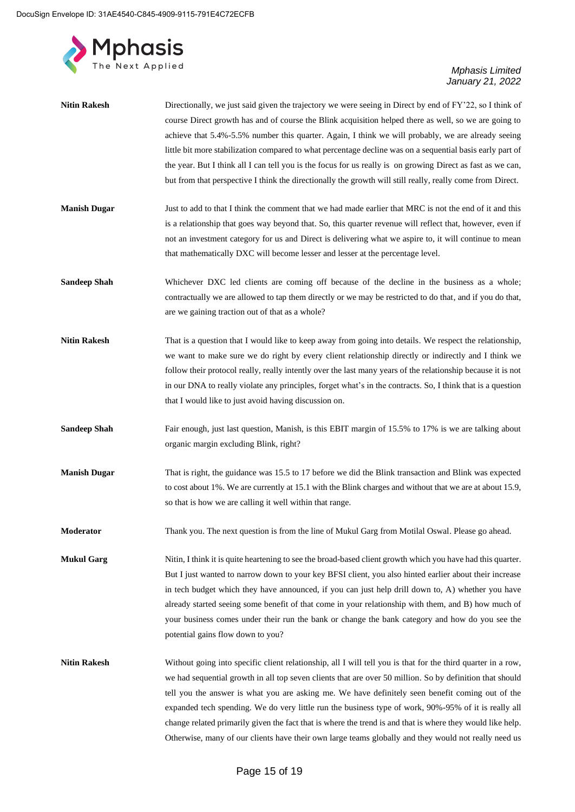

| <b>Nitin Rakesh</b> | Directionally, we just said given the trajectory we were seeing in Direct by end of FY'22, so I think of<br>course Direct growth has and of course the Blink acquisition helped there as well, so we are going to<br>achieve that 5.4%-5.5% number this quarter. Again, I think we will probably, we are already seeing<br>little bit more stabilization compared to what percentage decline was on a sequential basis early part of<br>the year. But I think all I can tell you is the focus for us really is on growing Direct as fast as we can,<br>but from that perspective I think the directionally the growth will still really, really come from Direct. |
|---------------------|-------------------------------------------------------------------------------------------------------------------------------------------------------------------------------------------------------------------------------------------------------------------------------------------------------------------------------------------------------------------------------------------------------------------------------------------------------------------------------------------------------------------------------------------------------------------------------------------------------------------------------------------------------------------|
| <b>Manish Dugar</b> | Just to add to that I think the comment that we had made earlier that MRC is not the end of it and this<br>is a relationship that goes way beyond that. So, this quarter revenue will reflect that, however, even if<br>not an investment category for us and Direct is delivering what we aspire to, it will continue to mean<br>that mathematically DXC will become lesser and lesser at the percentage level.                                                                                                                                                                                                                                                  |
| <b>Sandeep Shah</b> | Whichever DXC led clients are coming off because of the decline in the business as a whole;<br>contractually we are allowed to tap them directly or we may be restricted to do that, and if you do that,<br>are we gaining traction out of that as a whole?                                                                                                                                                                                                                                                                                                                                                                                                       |
| <b>Nitin Rakesh</b> | That is a question that I would like to keep away from going into details. We respect the relationship,<br>we want to make sure we do right by every client relationship directly or indirectly and I think we<br>follow their protocol really, really intently over the last many years of the relationship because it is not<br>in our DNA to really violate any principles, forget what's in the contracts. So, I think that is a question<br>that I would like to just avoid having discussion on.                                                                                                                                                            |
| <b>Sandeep Shah</b> | Fair enough, just last question, Manish, is this EBIT margin of 15.5% to 17% is we are talking about<br>organic margin excluding Blink, right?                                                                                                                                                                                                                                                                                                                                                                                                                                                                                                                    |
| <b>Manish Dugar</b> | That is right, the guidance was 15.5 to 17 before we did the Blink transaction and Blink was expected<br>to cost about 1%. We are currently at 15.1 with the Blink charges and without that we are at about 15.9,<br>so that is how we are calling it well within that range.                                                                                                                                                                                                                                                                                                                                                                                     |
| Moderator           | Thank you. The next question is from the line of Mukul Garg from Motilal Oswal. Please go ahead.                                                                                                                                                                                                                                                                                                                                                                                                                                                                                                                                                                  |
| <b>Mukul Garg</b>   | Nitin, I think it is quite heartening to see the broad-based client growth which you have had this quarter.<br>But I just wanted to narrow down to your key BFSI client, you also hinted earlier about their increase<br>in tech budget which they have announced, if you can just help drill down to, A) whether you have<br>already started seeing some benefit of that come in your relationship with them, and B) how much of<br>your business comes under their run the bank or change the bank category and how do you see the<br>potential gains flow down to you?                                                                                         |
| <b>Nitin Rakesh</b> | Without going into specific client relationship, all I will tell you is that for the third quarter in a row,<br>we had sequential growth in all top seven clients that are over 50 million. So by definition that should<br>tell you the answer is what you are asking me. We have definitely seen benefit coming out of the<br>expanded tech spending. We do very little run the business type of work, 90%-95% of it is really all<br>change related primarily given the fact that is where the trend is and that is where they would like help.<br>Otherwise, many of our clients have their own large teams globally and they would not really need us        |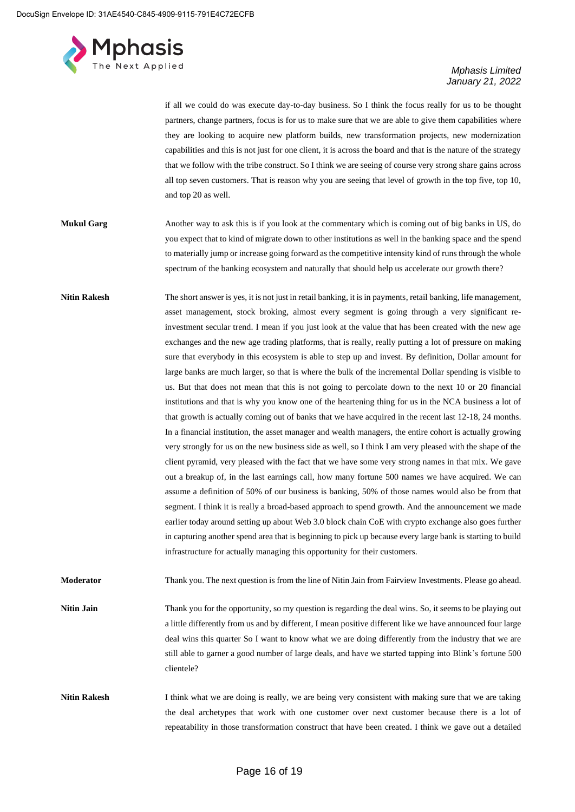

if all we could do was execute day-to-day business. So I think the focus really for us to be thought partners, change partners, focus is for us to make sure that we are able to give them capabilities where they are looking to acquire new platform builds, new transformation projects, new modernization capabilities and this is not just for one client, it is across the board and that is the nature of the strategy that we follow with the tribe construct. So I think we are seeing of course very strong share gains across all top seven customers. That is reason why you are seeing that level of growth in the top five, top 10, and top 20 as well.

**Mukul Garg** Another way to ask this is if you look at the commentary which is coming out of big banks in US, do you expect that to kind of migrate down to other institutions as well in the banking space and the spend to materially jump or increase going forward as the competitive intensity kind of runs through the whole spectrum of the banking ecosystem and naturally that should help us accelerate our growth there?

**Nitin Rakesh** The short answer is yes, it is not just in retail banking, it is in payments, retail banking, life management, asset management, stock broking, almost every segment is going through a very significant reinvestment secular trend. I mean if you just look at the value that has been created with the new age exchanges and the new age trading platforms, that is really, really putting a lot of pressure on making sure that everybody in this ecosystem is able to step up and invest. By definition, Dollar amount for large banks are much larger, so that is where the bulk of the incremental Dollar spending is visible to us. But that does not mean that this is not going to percolate down to the next 10 or 20 financial institutions and that is why you know one of the heartening thing for us in the NCA business a lot of that growth is actually coming out of banks that we have acquired in the recent last 12-18, 24 months. In a financial institution, the asset manager and wealth managers, the entire cohort is actually growing very strongly for us on the new business side as well, so I think I am very pleased with the shape of the client pyramid, very pleased with the fact that we have some very strong names in that mix. We gave out a breakup of, in the last earnings call, how many fortune 500 names we have acquired. We can assume a definition of 50% of our business is banking, 50% of those names would also be from that segment. I think it is really a broad-based approach to spend growth. And the announcement we made earlier today around setting up about Web 3.0 block chain CoE with crypto exchange also goes further in capturing another spend area that is beginning to pick up because every large bank is starting to build infrastructure for actually managing this opportunity for their customers.

**Moderator** Thank you. The next question is from the line of Nitin Jain from Fairview Investments. Please go ahead.

- **Nitin Jain** Thank you for the opportunity, so my question is regarding the deal wins. So, it seems to be playing out a little differently from us and by different, I mean positive different like we have announced four large deal wins this quarter So I want to know what we are doing differently from the industry that we are still able to garner a good number of large deals, and have we started tapping into Blink's fortune 500 clientele?
- **Nitin Rakesh** I think what we are doing is really, we are being very consistent with making sure that we are taking the deal archetypes that work with one customer over next customer because there is a lot of repeatability in those transformation construct that have been created. I think we gave out a detailed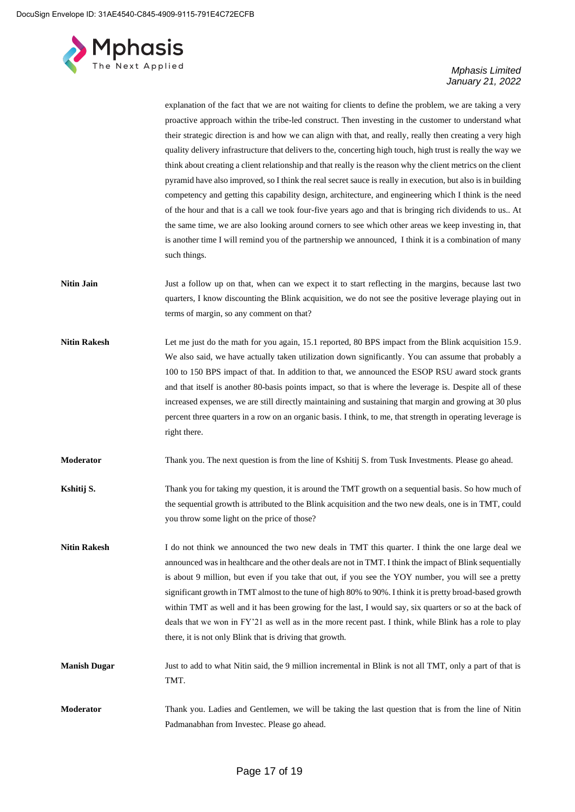

explanation of the fact that we are not waiting for clients to define the problem, we are taking a very proactive approach within the tribe-led construct. Then investing in the customer to understand what their strategic direction is and how we can align with that, and really, really then creating a very high quality delivery infrastructure that delivers to the, concerting high touch, high trust is really the way we think about creating a client relationship and that really is the reason why the client metrics on the client pyramid have also improved, so I think the real secret sauce is really in execution, but also is in building competency and getting this capability design, architecture, and engineering which I think is the need of the hour and that is a call we took four-five years ago and that is bringing rich dividends to us.. At the same time, we are also looking around corners to see which other areas we keep investing in, that is another time I will remind you of the partnership we announced, I think it is a combination of many such things.

- **Nitin Jain** Just a follow up on that, when can we expect it to start reflecting in the margins, because last two quarters, I know discounting the Blink acquisition, we do not see the positive leverage playing out in terms of margin, so any comment on that?
- Nitin Rakesh Let me just do the math for you again, 15.1 reported, 80 BPS impact from the Blink acquisition 15.9. We also said, we have actually taken utilization down significantly. You can assume that probably a 100 to 150 BPS impact of that. In addition to that, we announced the ESOP RSU award stock grants and that itself is another 80-basis points impact, so that is where the leverage is. Despite all of these increased expenses, we are still directly maintaining and sustaining that margin and growing at 30 plus percent three quarters in a row on an organic basis. I think, to me, that strength in operating leverage is right there.
- **Moderator** Thank you. The next question is from the line of Kshitij S. from Tusk Investments. Please go ahead.
- **Kshitij S.** Thank you for taking my question, it is around the TMT growth on a sequential basis. So how much of the sequential growth is attributed to the Blink acquisition and the two new deals, one is in TMT, could you throw some light on the price of those?
- **Nitin Rakesh** I do not think we announced the two new deals in TMT this quarter. I think the one large deal we announced was in healthcare and the other deals are not in TMT. I think the impact of Blink sequentially is about 9 million, but even if you take that out, if you see the YOY number, you will see a pretty significant growth in TMT almost to the tune of high 80% to 90%. I think it is pretty broad-based growth within TMT as well and it has been growing for the last, I would say, six quarters or so at the back of deals that we won in FY'21 as well as in the more recent past. I think, while Blink has a role to play there, it is not only Blink that is driving that growth.
- **Manish Dugar** Just to add to what Nitin said, the 9 million incremental in Blink is not all TMT, only a part of that is TMT.
- **Moderator** Thank you. Ladies and Gentlemen, we will be taking the last question that is from the line of Nitin Padmanabhan from Investec. Please go ahead.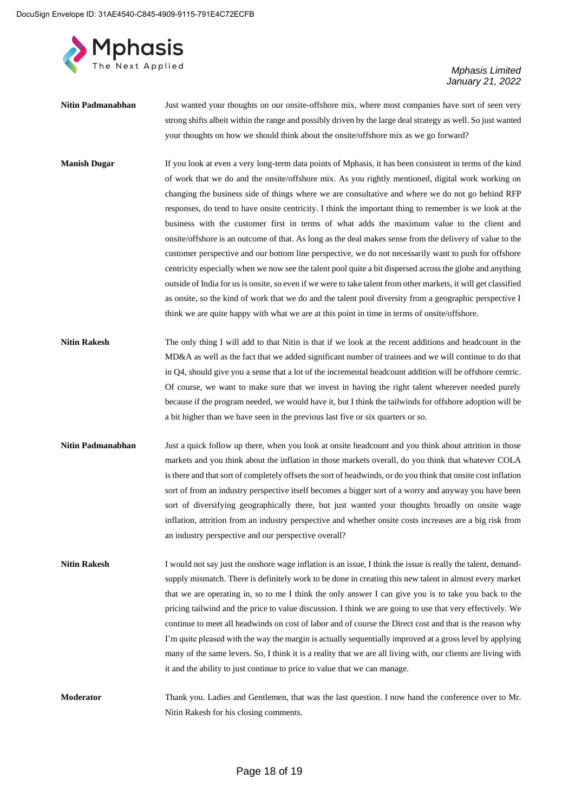

- **Nitin Padmanabhan** Just wanted your thoughts on our onsite-offshore mix, where most companies have sort of seen very strong shifts albeit within the range and possibly driven by the large deal strategy as well. So just wanted your thoughts on how we should think about the onsite/offshore mix as we go forward?
- **Manish Dugar** If you look at even a very long-term data points of Mphasis, it has been consistent in terms of the kind of work that we do and the onsite/offshore mix. As you rightly mentioned, digital work working on changing the business side of things where we are consultative and where we do not go behind RFP responses, do tend to have onsite centricity. I think the important thing to remember is we look at the business with the customer first in terms of what adds the maximum value to the client and onsite/offshore is an outcome of that. As long as the deal makes sense from the delivery of value to the customer perspective and our bottom line perspective, we do not necessarily want to push for offshore centricity especially when we now see the talent pool quite a bit dispersed across the globe and anything outside of India for us is onsite, so even if we were to take talent from other markets, it will get classified as onsite, so the kind of work that we do and the talent pool diversity from a geographic perspective I think we are quite happy with what we are at this point in time in terms of onsite/offshore.
- **Nitin Rakesh** The only thing I will add to that Nitin is that if we look at the recent additions and headcount in the MD&A as well as the fact that we added significant number of trainees and we will continue to do that in Q4, should give you a sense that a lot of the incremental headcount addition will be offshore centric. Of course, we want to make sure that we invest in having the right talent wherever needed purely because if the program needed, we would have it, but I think the tailwinds for offshore adoption will be a bit higher than we have seen in the previous last five or six quarters or so.
- **Nitin Padmanabhan** Just a quick follow up there, when you look at onsite headcount and you think about attrition in those markets and you think about the inflation in those markets overall, do you think that whatever COLA is there and that sort of completely offsets the sort of headwinds, or do you think that onsite cost inflation sort of from an industry perspective itself becomes a bigger sort of a worry and anyway you have been sort of diversifying geographically there, but just wanted your thoughts broadly on onsite wage inflation, attrition from an industry perspective and whether onsite costs increases are a big risk from an industry perspective and our perspective overall?
- **Nitin Rakesh** I would not say just the onshore wage inflation is an issue, I think the issue is really the talent, demandsupply mismatch. There is definitely work to be done in creating this new talent in almost every market that we are operating in, so to me I think the only answer I can give you is to take you back to the pricing tailwind and the price to value discussion. I think we are going to use that very effectively. We continue to meet all headwinds on cost of labor and of course the Direct cost and that is the reason why I'm quite pleased with the way the margin is actually sequentially improved at a gross level by applying many of the same levers. So, I think it is a reality that we are all living with, our clients are living with it and the ability to just continue to price to value that we can manage.

**Moderator** Thank you. Ladies and Gentlemen, that was the last question. I now hand the conference over to Mr. Nitin Rakesh for his closing comments.